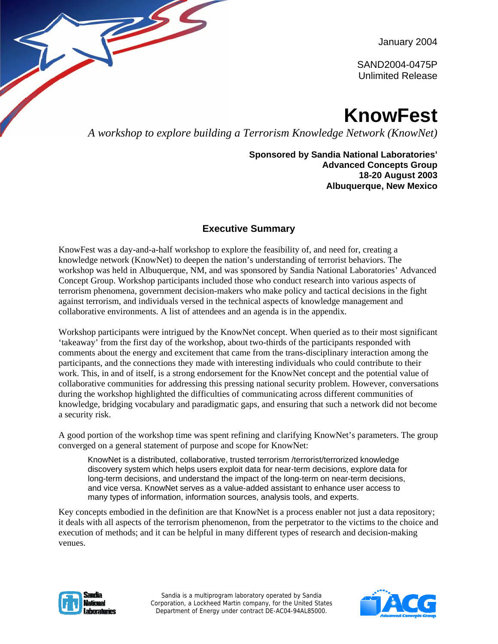January 2004

SAND2004-0475P Unlimited Release

# **KnowFest**

*A workshop to explore building a Terrorism Knowledge Network (KnowNet)*

**Sponsored by Sandia National Laboratories' Advanced Concepts Group 18-20 August 2003 Albuquerque, New Mexico**

## **Executive Summary**

KnowFest was a day-and-a-half workshop to explore the feasibility of, and need for, creating a knowledge network (KnowNet) to deepen the nation's understanding of terrorist behaviors. The workshop was held in Albuquerque, NM, and was sponsored by Sandia National Laboratories' Advanced Concept Group. Workshop participants included those who conduct research into various aspects of terrorism phenomena, government decision-makers who make policy and tactical decisions in the fight against terrorism, and individuals versed in the technical aspects of knowledge management and collaborative environments. A list of attendees and an agenda is in the appendix.

Workshop participants were intrigued by the KnowNet concept. When queried as to their most significant 'takeaway' from the first day of the workshop, about two-thirds of the participants responded with comments about the energy and excitement that came from the trans-disciplinary interaction among the participants, and the connections they made with interesting individuals who could contribute to their work. This, in and of itself, is a strong endorsement for the KnowNet concept and the potential value of collaborative communities for addressing this pressing national security problem. However, conversations during the workshop highlighted the difficulties of communicating across different communities of knowledge, bridging vocabulary and paradigmatic gaps, and ensuring that such a network did not become a security risk.

A good portion of the workshop time was spent refining and clarifying KnowNet's parameters. The group converged on a general statement of purpose and scope for KnowNet:

KnowNet is a distributed, collaborative, trusted terrorism /terrorist/terrorized knowledge discovery system which helps users exploit data for near-term decisions, explore data for long-term decisions, and understand the impact of the long-term on near-term decisions, and vice versa. KnowNet serves as a value-added assistant to enhance user access to many types of information, information sources, analysis tools, and experts.

Key concepts embodied in the definition are that KnowNet is a process enabler not just a data repository; it deals with all aspects of the terrorism phenomenon, from the perpetrator to the victims to the choice and execution of methods; and it can be helpful in many different types of research and decision-making venues.



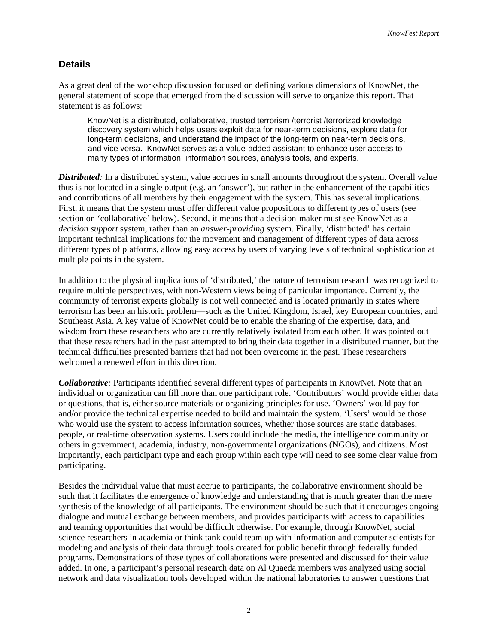### **Details**

As a great deal of the workshop discussion focused on defining various dimensions of KnowNet, the general statement of scope that emerged from the discussion will serve to organize this report. That statement is as follows:

KnowNet is a distributed, collaborative, trusted terrorism /terrorist /terrorized knowledge discovery system which helps users exploit data for near-term decisions, explore data for long-term decisions, and understand the impact of the long-term on near-term decisions, and vice versa. KnowNet serves as a value-added assistant to enhance user access to many types of information, information sources, analysis tools, and experts.

*Distributed:* In a distributed system, value accrues in small amounts throughout the system. Overall value thus is not located in a single output (e.g. an 'answer'), but rather in the enhancement of the capabilities and contributions of all members by their engagement with the system. This has several implications. First, it means that the system must offer different value propositions to different types of users (see section on 'collaborative' below). Second, it means that a decision-maker must see KnowNet as a *decision support* system, rather than an *answer-providing* system. Finally, 'distributed' has certain important technical implications for the movement and management of different types of data across different types of platforms, allowing easy access by users of varying levels of technical sophistication at multiple points in the system.

In addition to the physical implications of 'distributed,' the nature of terrorism research was recognized to require multiple perspectives, with non-Western views being of particular importance. Currently, the community of terrorist experts globally is not well connected and is located primarily in states where terrorism has been an historic problem—such as the United Kingdom, Israel, key European countries, and Southeast Asia. A key value of KnowNet could be to enable the sharing of the expertise, data, and wisdom from these researchers who are currently relatively isolated from each other. It was pointed out that these researchers had in the past attempted to bring their data together in a distributed manner, but the technical difficulties presented barriers that had not been overcome in the past. These researchers welcomed a renewed effort in this direction.

*Collaborative:* Participants identified several different types of participants in KnowNet. Note that an individual or organization can fill more than one participant role. 'Contributors' would provide either data or questions, that is, either source materials or organizing principles for use. 'Owners' would pay for and/or provide the technical expertise needed to build and maintain the system. 'Users' would be those who would use the system to access information sources, whether those sources are static databases, people, or real-time observation systems. Users could include the media, the intelligence community or others in government, academia, industry, non-governmental organizations (NGOs), and citizens. Most importantly, each participant type and each group within each type will need to see some clear value from participating.

Besides the individual value that must accrue to participants, the collaborative environment should be such that it facilitates the emergence of knowledge and understanding that is much greater than the mere synthesis of the knowledge of all participants. The environment should be such that it encourages ongoing dialogue and mutual exchange between members, and provides participants with access to capabilities and teaming opportunities that would be difficult otherwise. For example, through KnowNet, social science researchers in academia or think tank could team up with information and computer scientists for modeling and analysis of their data through tools created for public benefit through federally funded programs. Demonstrations of these types of collaborations were presented and discussed for their value added. In one, a participant's personal research data on Al Quaeda members was analyzed using social network and data visualization tools developed within the national laboratories to answer questions that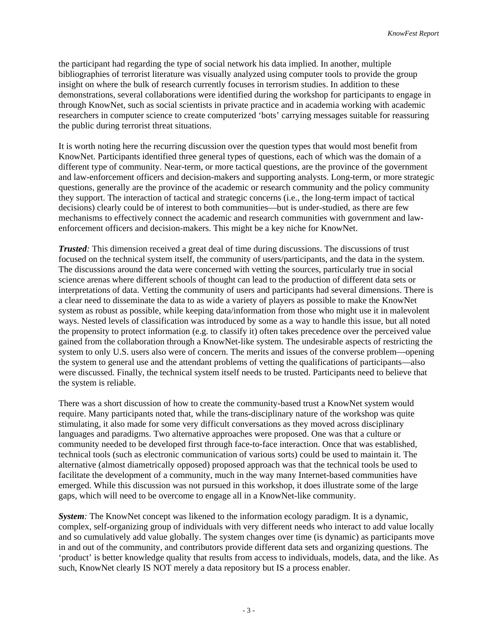the participant had regarding the type of social network his data implied. In another, multiple bibliographies of terrorist literature was visually analyzed using computer tools to provide the group insight on where the bulk of research currently focuses in terrorism studies. In addition to these demonstrations, several collaborations were identified during the workshop for participants to engage in through KnowNet, such as social scientists in private practice and in academia working with academic researchers in computer science to create computerized 'bots' carrying messages suitable for reassuring the public during terrorist threat situations.

It is worth noting here the recurring discussion over the question types that would most benefit from KnowNet. Participants identified three general types of questions, each of which was the domain of a different type of community. Near-term, or more tactical questions, are the province of the government and law-enforcement officers and decision-makers and supporting analysts. Long-term, or more strategic questions, generally are the province of the academic or research community and the policy community they support. The interaction of tactical and strategic concerns (i.e., the long-term impact of tactical decisions) clearly could be of interest to both communities—but is under-studied, as there are few mechanisms to effectively connect the academic and research communities with government and lawenforcement officers and decision-makers. This might be a key niche for KnowNet.

*Trusted:* This dimension received a great deal of time during discussions. The discussions of trust focused on the technical system itself, the community of users/participants, and the data in the system. The discussions around the data were concerned with vetting the sources, particularly true in social science arenas where different schools of thought can lead to the production of different data sets or interpretations of data. Vetting the community of users and participants had several dimensions. There is a clear need to disseminate the data to as wide a variety of players as possible to make the KnowNet system as robust as possible, while keeping data/information from those who might use it in malevolent ways. Nested levels of classification was introduced by some as a way to handle this issue, but all noted the propensity to protect information (e.g. to classify it) often takes precedence over the perceived value gained from the collaboration through a KnowNet-like system. The undesirable aspects of restricting the system to only U.S. users also were of concern. The merits and issues of the converse problem—opening the system to general use and the attendant problems of vetting the qualifications of participants—also were discussed. Finally, the technical system itself needs to be trusted. Participants need to believe that the system is reliable.

There was a short discussion of how to create the community-based trust a KnowNet system would require. Many participants noted that, while the trans-disciplinary nature of the workshop was quite stimulating, it also made for some very difficult conversations as they moved across disciplinary languages and paradigms. Two alternative approaches were proposed. One was that a culture or community needed to be developed first through face-to-face interaction. Once that was established, technical tools (such as electronic communication of various sorts) could be used to maintain it. The alternative (almost diametrically opposed) proposed approach was that the technical tools be used to facilitate the development of a community, much in the way many Internet-based communities have emerged. While this discussion was not pursued in this workshop, it does illustrate some of the large gaps, which will need to be overcome to engage all in a KnowNet-like community.

*System:* The KnowNet concept was likened to the information ecology paradigm. It is a dynamic, complex, self-organizing group of individuals with very different needs who interact to add value locally and so cumulatively add value globally. The system changes over time (is dynamic) as participants move in and out of the community, and contributors provide different data sets and organizing questions. The 'product' is better knowledge quality that results from access to individuals, models, data, and the like. As such, KnowNet clearly IS NOT merely a data repository but IS a process enabler.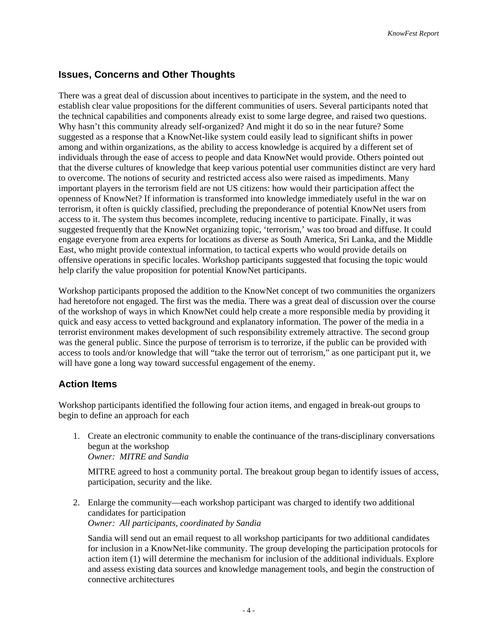#### **Issues, Concerns and Other Thoughts**

There was a great deal of discussion about incentives to participate in the system, and the need to establish clear value propositions for the different communities of users. Several participants noted that the technical capabilities and components already exist to some large degree, and raised two questions. Why hasn't this community already self-organized? And might it do so in the near future? Some suggested as a response that a KnowNet-like system could easily lead to significant shifts in power among and within organizations, as the ability to access knowledge is acquired by a different set of individuals through the ease of access to people and data KnowNet would provide. Others pointed out that the diverse cultures of knowledge that keep various potential user communities distinct are very hard to overcome. The notions of security and restricted access also were raised as impediments. Many important players in the terrorism field are not US citizens: how would their participation affect the openness of KnowNet? If information is transformed into knowledge immediately useful in the war on terrorism, it often is quickly classified, precluding the preponderance of potential KnowNet users from access to it. The system thus becomes incomplete, reducing incentive to participate. Finally, it was suggested frequently that the KnowNet organizing topic, 'terrorism,' was too broad and diffuse. It could engage everyone from area experts for locations as diverse as South America, Sri Lanka, and the Middle East, who might provide contextual information, to tactical experts who would provide details on offensive operations in specific locales. Workshop participants suggested that focusing the topic would help clarify the value proposition for potential KnowNet participants.

Workshop participants proposed the addition to the KnowNet concept of two communities the organizers had heretofore not engaged. The first was the media. There was a great deal of discussion over the course of the workshop of ways in which KnowNet could help create a more responsible media by providing it quick and easy access to vetted background and explanatory information. The power of the media in a terrorist environment makes development of such responsibility extremely attractive. The second group was the general public. Since the purpose of terrorism is to terrorize, if the public can be provided with access to tools and/or knowledge that will "take the terror out of terrorism," as one participant put it, we will have gone a long way toward successful engagement of the enemy.

#### **Action Items**

Workshop participants identified the following four action items, and engaged in break-out groups to begin to define an approach for each

1. Create an electronic community to enable the continuance of the trans-disciplinary conversations begun at the workshop *Owner: MITRE and Sandia* 

MITRE agreed to host a community portal. The breakout group began to identify issues of access, participation, security and the like.

2. Enlarge the community—each workshop participant was charged to identify two additional candidates for participation *Owner: All participants, coordinated by Sandia* 

Sandia will send out an email request to all workshop participants for two additional candidates for inclusion in a KnowNet-like community. The group developing the participation protocols for action item (1) will determine the mechanism for inclusion of the additional individuals. Explore and assess existing data sources and knowledge management tools, and begin the construction of connective architectures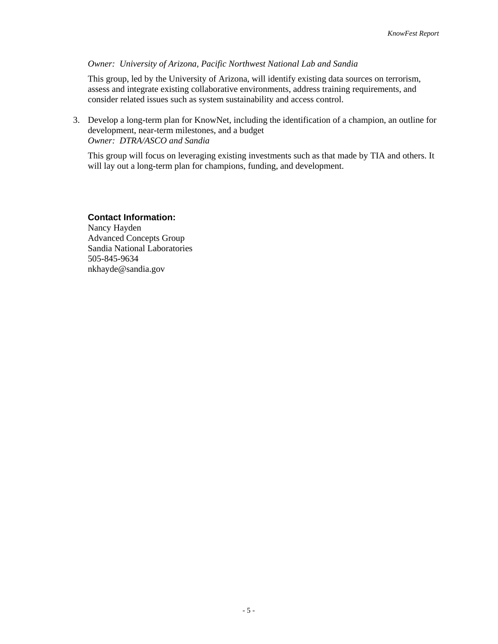#### *Owner: University of Arizona, Pacific Northwest National Lab and Sandia*

This group, led by the University of Arizona, will identify existing data sources on terrorism, assess and integrate existing collaborative environments, address training requirements, and consider related issues such as system sustainability and access control.

3. Develop a long-term plan for KnowNet, including the identification of a champion, an outline for development, near-term milestones, and a budget *Owner: DTRA/ASCO and Sandia* 

This group will focus on leveraging existing investments such as that made by TIA and others. It will lay out a long-term plan for champions, funding, and development.

#### **Contact Information:**

Nancy Hayden Advanced Concepts Group Sandia National Laboratories 505-845-9634 nkhayde@sandia.gov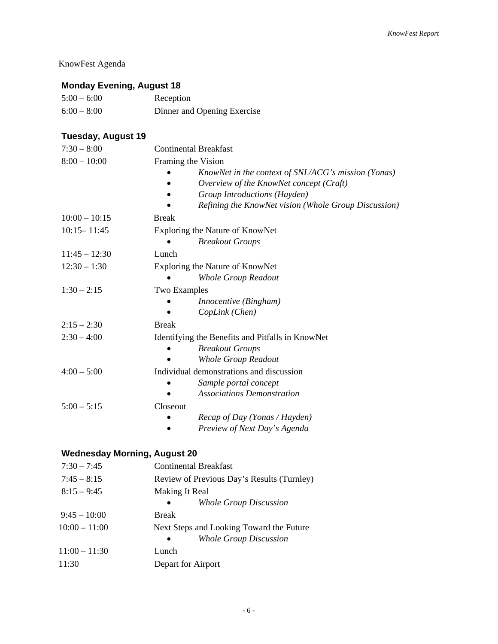# KnowFest Agenda

# **Monday Evening, August 18**

| $5:00 - 6:00$ | Reception                   |
|---------------|-----------------------------|
| $6:00 - 8:00$ | Dinner and Opening Exercise |

# **Tuesday, August 19**

| $7:30 - 8:00$   | <b>Continental Breakfast</b>                         |  |
|-----------------|------------------------------------------------------|--|
| $8:00 - 10:00$  | Framing the Vision                                   |  |
|                 | KnowNet in the context of SNL/ACG's mission (Yonas)  |  |
|                 | Overview of the KnowNet concept (Craft)              |  |
|                 | Group Introductions (Hayden)                         |  |
|                 | Refining the KnowNet vision (Whole Group Discussion) |  |
| $10:00 - 10:15$ | <b>Break</b>                                         |  |
| $10:15 - 11:45$ | Exploring the Nature of KnowNet                      |  |
|                 | <b>Breakout Groups</b>                               |  |
| $11:45 - 12:30$ | Lunch                                                |  |
| $12:30 - 1:30$  | Exploring the Nature of KnowNet                      |  |
|                 | <b>Whole Group Readout</b>                           |  |
| $1:30 - 2:15$   | <b>Two Examples</b>                                  |  |
|                 | <i>Innocentive</i> ( <i>Bingham</i> )                |  |
|                 | CopLink (Chen)                                       |  |
| $2:15 - 2:30$   | <b>Break</b>                                         |  |
| $2:30 - 4:00$   | Identifying the Benefits and Pitfalls in KnowNet     |  |
|                 | <b>Breakout Groups</b>                               |  |
|                 | <b>Whole Group Readout</b>                           |  |
| $4:00 - 5:00$   | Individual demonstrations and discussion             |  |
|                 | Sample portal concept                                |  |
|                 | <b>Associations Demonstration</b>                    |  |
| $5:00 - 5:15$   | Closeout                                             |  |
|                 | Recap of Day (Yonas / Hayden)                        |  |
|                 | Preview of Next Day's Agenda                         |  |

# **Wednesday Morning, August 20**

| $7:30 - 7:45$   | <b>Continental Breakfast</b>               |
|-----------------|--------------------------------------------|
| $7:45 - 8:15$   | Review of Previous Day's Results (Turnley) |
| $8:15 - 9:45$   | Making It Real                             |
|                 | <b>Whole Group Discussion</b><br>$\bullet$ |
| $9:45 - 10:00$  | <b>Break</b>                               |
| $10:00 - 11:00$ | Next Steps and Looking Toward the Future   |
|                 | <b>Whole Group Discussion</b><br>$\bullet$ |
| $11:00 - 11:30$ | Lunch                                      |
| 11:30           | Depart for Airport                         |
|                 |                                            |